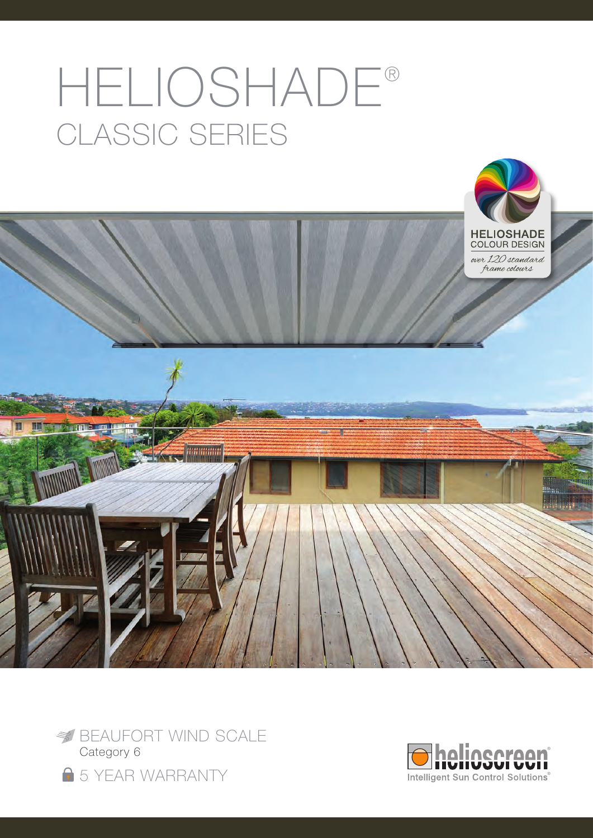# HELIOSHADE® classic series





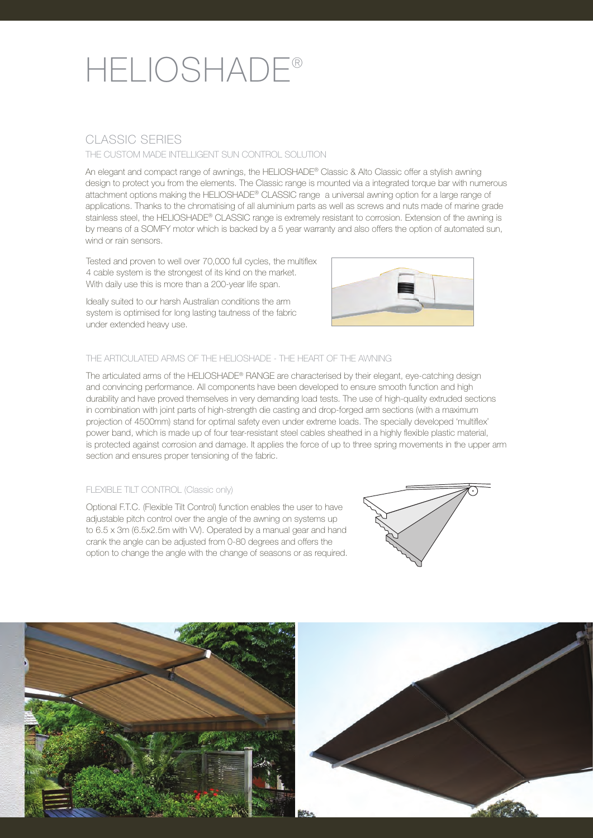## HELIOSHADE®

### CLASSIC SERIES

### THE CUSTOM MADE INTELLIGENT SUN CONTROL SOLUTION

An elegant and compact range of awnings, the HELIOSHADE® Classic & Alto Classic offer a stylish awning design to protect you from the elements. The Classic range is mounted via a integrated torque bar with numerous attachment options making the HELIOSHADE® CLASSIC range a universal awning option for a large range of applications. Thanks to the chromatising of all aluminium parts as well as screws and nuts made of marine grade stainless steel, the HELIOSHADE® CLASSIC range is extremely resistant to corrosion. Extension of the awning is by means of a SOMFY motor which is backed by a 5 year warranty and also offers the option of automated sun, wind or rain sensors.

Tested and proven to well over 70,000 full cycles, the multiflex 4 cable system is the strongest of its kind on the market. With daily use this is more than a 200-year life span.

Ideally suited to our harsh Australian conditions the arm system is optimised for long lasting tautness of the fabric under extended heavy use.



### THE ARTICULATED ARMS OF THE HELIOSHADE - THE HEART OF THE AWNING

The articulated arms of the HELIOSHADE® RANGE are characterised by their elegant, eye-catching design and convincing performance. All components have been developed to ensure smooth function and high durability and have proved themselves in very demanding load tests. The use of high-quality extruded sections in combination with joint parts of high-strength die casting and drop-forged arm sections (with a maximum projection of 4500mm) stand for optimal safety even under extreme loads. The specially developed 'multiflex' power band, which is made up of four tear-resistant steel cables sheathed in a highly flexible plastic material, is protected against corrosion and damage. It applies the force of up to three spring movements in the upper arm section and ensures proper tensioning of the fabric.

### FLEXIBLE TILT CONTROL (Classic only)

Optional F.T.C. (Flexible Tilt Control) function enables the user to have adjustable pitch control over the angle of the awning on systems up to 6.5 x 3m (6.5x2.5m with VV). Operated by a manual gear and hand crank the angle can be adjusted from 0-80 degrees and offers the option to change the angle with the change of seasons or as required.



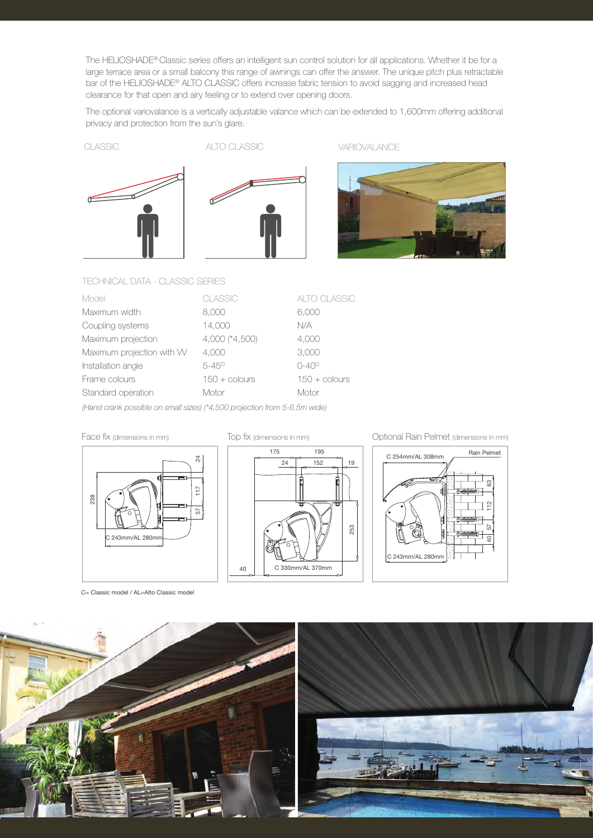The HELIOSHADE® Classic series offers an intelligent sun control solution for all applications. Whether it be for a large terrace area or a small balcony this range of awnings can offer the answer. The unique pitch plus retractable bar of the HELIOSHADE® ALTO CLASSIC offers increase fabric tension to avoid sagging and increased head clearance for that open and airy feeling or to extend over opening doors.

The optional variovalance is a vertically adjustable valance which can be extended to 1,600mm offering additional privacy and protection from the sun's glare.





CLASSIC ALTO CLASSIC VARIOVALANCE



### TECHNICAL DATA - CLASSIC SERIES

| Model                     | <b>CLASSIC</b>         | <b>ALTO CLASSIC</b>    |
|---------------------------|------------------------|------------------------|
| Maximum width             | 8,000                  | 6,000                  |
| Coupling systems          | 14,000                 | N/A                    |
| Maximum projection        | 4,000 (*4,500)         | 4,000                  |
| Maximum projection with W | 4.000                  | 3,000                  |
| Installation angle        | $5 - 45^{\circ}$       | $0 - 40^{\circ}$       |
| Frame colours             | $150 + \text{colours}$ | $150 + \text{colours}$ |
| Standard operation        | Motor                  | Motor                  |

*(Hand crank possible on small sizes) (\*4,500 projection from 5-6.5m wide)*

### 238 117 24 57 243mm/AL 280mn

C= Classic model / AL=Alto Classic model



Face fix (dimensions in mm) Top fix (dimensions in mm) Optional Rain Pelmet (dimensions in mm)